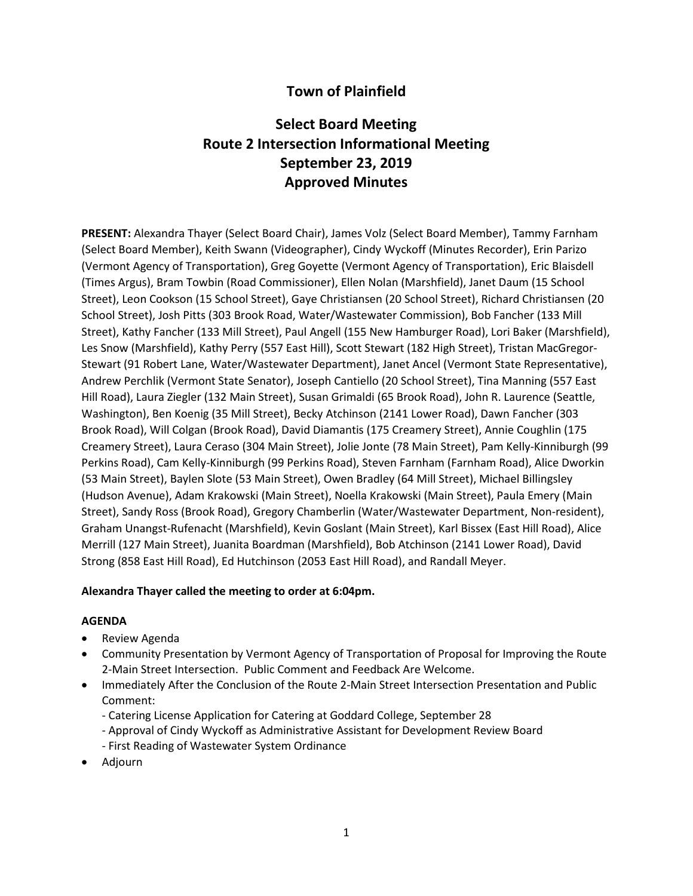## **Town of Plainfield**

# **Select Board Meeting Route 2 Intersection Informational Meeting September 23, 2019 Approved Minutes**

**PRESENT:** Alexandra Thayer (Select Board Chair), James Volz (Select Board Member), Tammy Farnham (Select Board Member), Keith Swann (Videographer), Cindy Wyckoff (Minutes Recorder), Erin Parizo (Vermont Agency of Transportation), Greg Goyette (Vermont Agency of Transportation), Eric Blaisdell (Times Argus), Bram Towbin (Road Commissioner), Ellen Nolan (Marshfield), Janet Daum (15 School Street), Leon Cookson (15 School Street), Gaye Christiansen (20 School Street), Richard Christiansen (20 School Street), Josh Pitts (303 Brook Road, Water/Wastewater Commission), Bob Fancher (133 Mill Street), Kathy Fancher (133 Mill Street), Paul Angell (155 New Hamburger Road), Lori Baker (Marshfield), Les Snow (Marshfield), Kathy Perry (557 East Hill), Scott Stewart (182 High Street), Tristan MacGregor-Stewart (91 Robert Lane, Water/Wastewater Department), Janet Ancel (Vermont State Representative), Andrew Perchlik (Vermont State Senator), Joseph Cantiello (20 School Street), Tina Manning (557 East Hill Road), Laura Ziegler (132 Main Street), Susan Grimaldi (65 Brook Road), John R. Laurence (Seattle, Washington), Ben Koenig (35 Mill Street), Becky Atchinson (2141 Lower Road), Dawn Fancher (303 Brook Road), Will Colgan (Brook Road), David Diamantis (175 Creamery Street), Annie Coughlin (175 Creamery Street), Laura Ceraso (304 Main Street), Jolie Jonte (78 Main Street), Pam Kelly-Kinniburgh (99 Perkins Road), Cam Kelly-Kinniburgh (99 Perkins Road), Steven Farnham (Farnham Road), Alice Dworkin (53 Main Street), Baylen Slote (53 Main Street), Owen Bradley (64 Mill Street), Michael Billingsley (Hudson Avenue), Adam Krakowski (Main Street), Noella Krakowski (Main Street), Paula Emery (Main Street), Sandy Ross (Brook Road), Gregory Chamberlin (Water/Wastewater Department, Non-resident), Graham Unangst-Rufenacht (Marshfield), Kevin Goslant (Main Street), Karl Bissex (East Hill Road), Alice Merrill (127 Main Street), Juanita Boardman (Marshfield), Bob Atchinson (2141 Lower Road), David Strong (858 East Hill Road), Ed Hutchinson (2053 East Hill Road), and Randall Meyer.

#### **Alexandra Thayer called the meeting to order at 6:04pm.**

#### **AGENDA**

- Review Agenda
- Community Presentation by Vermont Agency of Transportation of Proposal for Improving the Route 2-Main Street Intersection. Public Comment and Feedback Are Welcome.
- Immediately After the Conclusion of the Route 2-Main Street Intersection Presentation and Public Comment:
	- Catering License Application for Catering at Goddard College, September 28
	- Approval of Cindy Wyckoff as Administrative Assistant for Development Review Board
	- First Reading of Wastewater System Ordinance
- Adjourn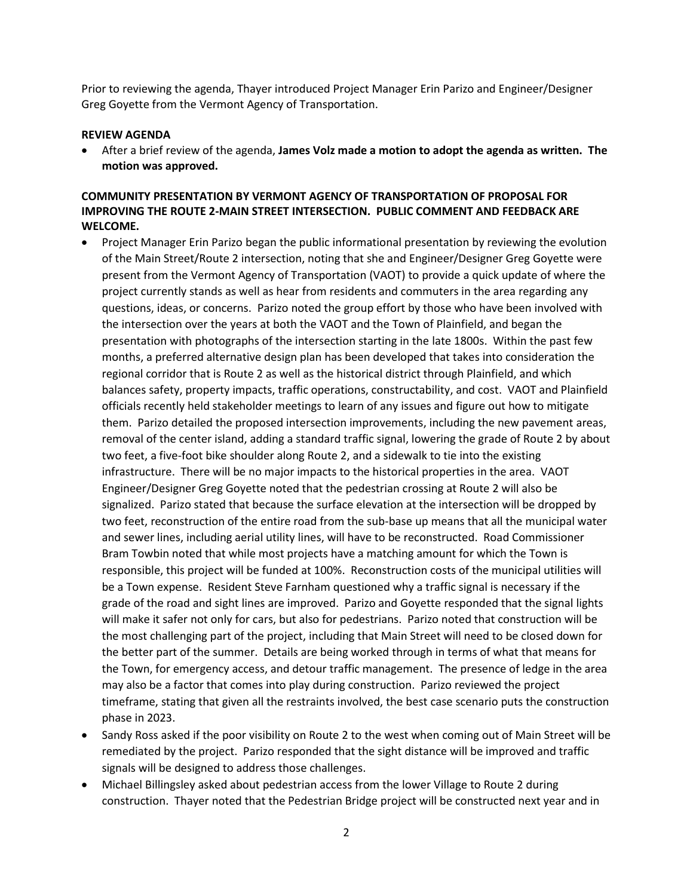Prior to reviewing the agenda, Thayer introduced Project Manager Erin Parizo and Engineer/Designer Greg Goyette from the Vermont Agency of Transportation.

#### **REVIEW AGENDA**

 After a brief review of the agenda, **James Volz made a motion to adopt the agenda as written. The motion was approved.** 

#### **COMMUNITY PRESENTATION BY VERMONT AGENCY OF TRANSPORTATION OF PROPOSAL FOR IMPROVING THE ROUTE 2-MAIN STREET INTERSECTION. PUBLIC COMMENT AND FEEDBACK ARE WELCOME.**

- Project Manager Erin Parizo began the public informational presentation by reviewing the evolution of the Main Street/Route 2 intersection, noting that she and Engineer/Designer Greg Goyette were present from the Vermont Agency of Transportation (VAOT) to provide a quick update of where the project currently stands as well as hear from residents and commuters in the area regarding any questions, ideas, or concerns. Parizo noted the group effort by those who have been involved with the intersection over the years at both the VAOT and the Town of Plainfield, and began the presentation with photographs of the intersection starting in the late 1800s. Within the past few months, a preferred alternative design plan has been developed that takes into consideration the regional corridor that is Route 2 as well as the historical district through Plainfield, and which balances safety, property impacts, traffic operations, constructability, and cost. VAOT and Plainfield officials recently held stakeholder meetings to learn of any issues and figure out how to mitigate them. Parizo detailed the proposed intersection improvements, including the new pavement areas, removal of the center island, adding a standard traffic signal, lowering the grade of Route 2 by about two feet, a five-foot bike shoulder along Route 2, and a sidewalk to tie into the existing infrastructure. There will be no major impacts to the historical properties in the area. VAOT Engineer/Designer Greg Goyette noted that the pedestrian crossing at Route 2 will also be signalized. Parizo stated that because the surface elevation at the intersection will be dropped by two feet, reconstruction of the entire road from the sub-base up means that all the municipal water and sewer lines, including aerial utility lines, will have to be reconstructed. Road Commissioner Bram Towbin noted that while most projects have a matching amount for which the Town is responsible, this project will be funded at 100%. Reconstruction costs of the municipal utilities will be a Town expense. Resident Steve Farnham questioned why a traffic signal is necessary if the grade of the road and sight lines are improved. Parizo and Goyette responded that the signal lights will make it safer not only for cars, but also for pedestrians. Parizo noted that construction will be the most challenging part of the project, including that Main Street will need to be closed down for the better part of the summer. Details are being worked through in terms of what that means for the Town, for emergency access, and detour traffic management. The presence of ledge in the area may also be a factor that comes into play during construction. Parizo reviewed the project timeframe, stating that given all the restraints involved, the best case scenario puts the construction phase in 2023.
- Sandy Ross asked if the poor visibility on Route 2 to the west when coming out of Main Street will be remediated by the project. Parizo responded that the sight distance will be improved and traffic signals will be designed to address those challenges.
- Michael Billingsley asked about pedestrian access from the lower Village to Route 2 during construction. Thayer noted that the Pedestrian Bridge project will be constructed next year and in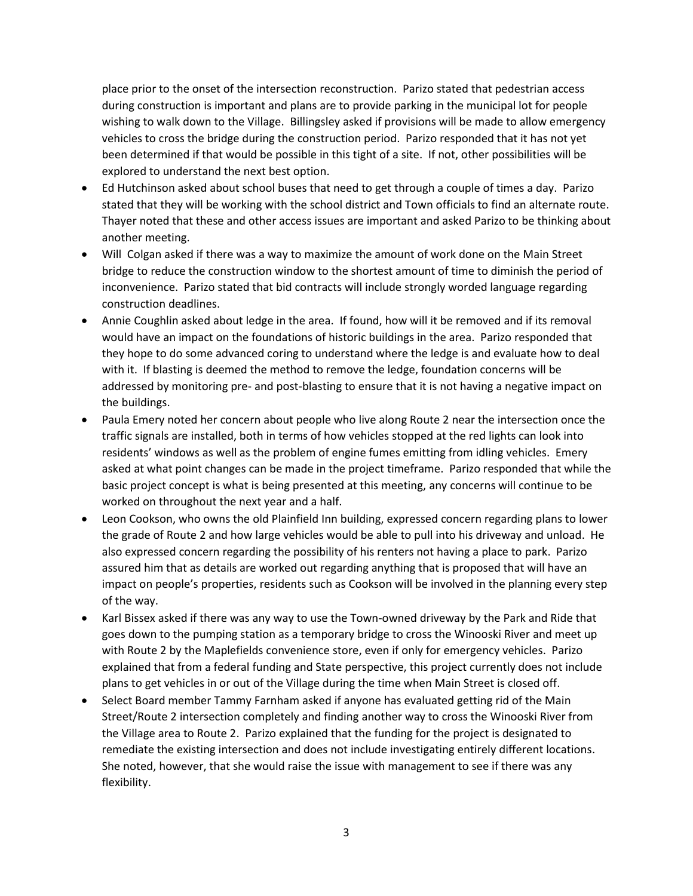place prior to the onset of the intersection reconstruction. Parizo stated that pedestrian access during construction is important and plans are to provide parking in the municipal lot for people wishing to walk down to the Village. Billingsley asked if provisions will be made to allow emergency vehicles to cross the bridge during the construction period. Parizo responded that it has not yet been determined if that would be possible in this tight of a site. If not, other possibilities will be explored to understand the next best option.

- Ed Hutchinson asked about school buses that need to get through a couple of times a day. Parizo stated that they will be working with the school district and Town officials to find an alternate route. Thayer noted that these and other access issues are important and asked Parizo to be thinking about another meeting.
- Will Colgan asked if there was a way to maximize the amount of work done on the Main Street bridge to reduce the construction window to the shortest amount of time to diminish the period of inconvenience. Parizo stated that bid contracts will include strongly worded language regarding construction deadlines.
- Annie Coughlin asked about ledge in the area. If found, how will it be removed and if its removal would have an impact on the foundations of historic buildings in the area. Parizo responded that they hope to do some advanced coring to understand where the ledge is and evaluate how to deal with it. If blasting is deemed the method to remove the ledge, foundation concerns will be addressed by monitoring pre- and post-blasting to ensure that it is not having a negative impact on the buildings.
- Paula Emery noted her concern about people who live along Route 2 near the intersection once the traffic signals are installed, both in terms of how vehicles stopped at the red lights can look into residents' windows as well as the problem of engine fumes emitting from idling vehicles. Emery asked at what point changes can be made in the project timeframe. Parizo responded that while the basic project concept is what is being presented at this meeting, any concerns will continue to be worked on throughout the next year and a half.
- Leon Cookson, who owns the old Plainfield Inn building, expressed concern regarding plans to lower the grade of Route 2 and how large vehicles would be able to pull into his driveway and unload. He also expressed concern regarding the possibility of his renters not having a place to park. Parizo assured him that as details are worked out regarding anything that is proposed that will have an impact on people's properties, residents such as Cookson will be involved in the planning every step of the way.
- Karl Bissex asked if there was any way to use the Town-owned driveway by the Park and Ride that goes down to the pumping station as a temporary bridge to cross the Winooski River and meet up with Route 2 by the Maplefields convenience store, even if only for emergency vehicles. Parizo explained that from a federal funding and State perspective, this project currently does not include plans to get vehicles in or out of the Village during the time when Main Street is closed off.
- Select Board member Tammy Farnham asked if anyone has evaluated getting rid of the Main Street/Route 2 intersection completely and finding another way to cross the Winooski River from the Village area to Route 2. Parizo explained that the funding for the project is designated to remediate the existing intersection and does not include investigating entirely different locations. She noted, however, that she would raise the issue with management to see if there was any flexibility.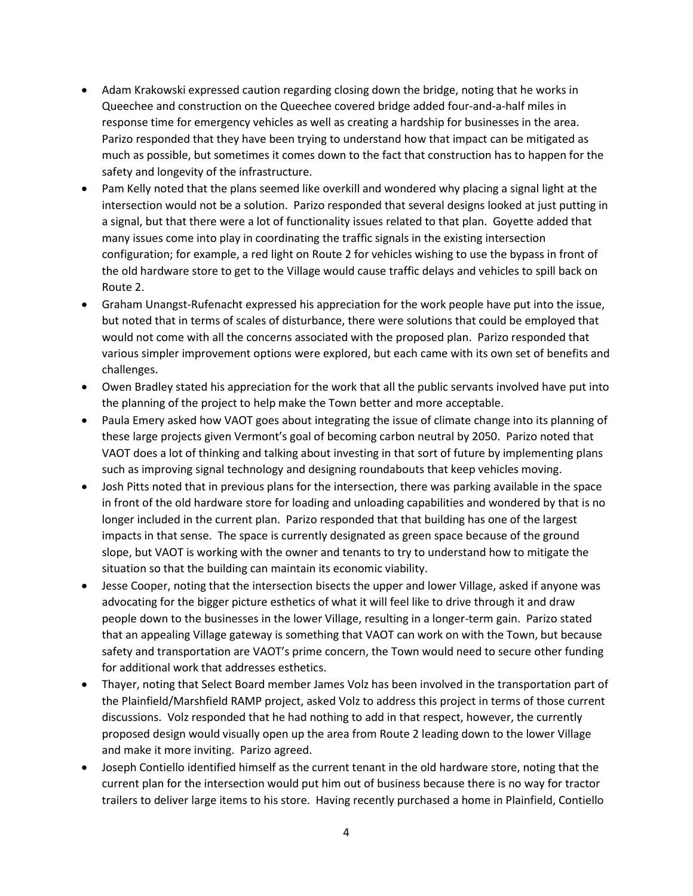- Adam Krakowski expressed caution regarding closing down the bridge, noting that he works in Queechee and construction on the Queechee covered bridge added four-and-a-half miles in response time for emergency vehicles as well as creating a hardship for businesses in the area. Parizo responded that they have been trying to understand how that impact can be mitigated as much as possible, but sometimes it comes down to the fact that construction has to happen for the safety and longevity of the infrastructure.
- Pam Kelly noted that the plans seemed like overkill and wondered why placing a signal light at the intersection would not be a solution. Parizo responded that several designs looked at just putting in a signal, but that there were a lot of functionality issues related to that plan. Goyette added that many issues come into play in coordinating the traffic signals in the existing intersection configuration; for example, a red light on Route 2 for vehicles wishing to use the bypass in front of the old hardware store to get to the Village would cause traffic delays and vehicles to spill back on Route 2.
- Graham Unangst-Rufenacht expressed his appreciation for the work people have put into the issue, but noted that in terms of scales of disturbance, there were solutions that could be employed that would not come with all the concerns associated with the proposed plan. Parizo responded that various simpler improvement options were explored, but each came with its own set of benefits and challenges.
- Owen Bradley stated his appreciation for the work that all the public servants involved have put into the planning of the project to help make the Town better and more acceptable.
- Paula Emery asked how VAOT goes about integrating the issue of climate change into its planning of these large projects given Vermont's goal of becoming carbon neutral by 2050. Parizo noted that VAOT does a lot of thinking and talking about investing in that sort of future by implementing plans such as improving signal technology and designing roundabouts that keep vehicles moving.
- Josh Pitts noted that in previous plans for the intersection, there was parking available in the space in front of the old hardware store for loading and unloading capabilities and wondered by that is no longer included in the current plan. Parizo responded that that building has one of the largest impacts in that sense. The space is currently designated as green space because of the ground slope, but VAOT is working with the owner and tenants to try to understand how to mitigate the situation so that the building can maintain its economic viability.
- Jesse Cooper, noting that the intersection bisects the upper and lower Village, asked if anyone was advocating for the bigger picture esthetics of what it will feel like to drive through it and draw people down to the businesses in the lower Village, resulting in a longer-term gain. Parizo stated that an appealing Village gateway is something that VAOT can work on with the Town, but because safety and transportation are VAOT's prime concern, the Town would need to secure other funding for additional work that addresses esthetics.
- Thayer, noting that Select Board member James Volz has been involved in the transportation part of the Plainfield/Marshfield RAMP project, asked Volz to address this project in terms of those current discussions. Volz responded that he had nothing to add in that respect, however, the currently proposed design would visually open up the area from Route 2 leading down to the lower Village and make it more inviting. Parizo agreed.
- Joseph Contiello identified himself as the current tenant in the old hardware store, noting that the current plan for the intersection would put him out of business because there is no way for tractor trailers to deliver large items to his store. Having recently purchased a home in Plainfield, Contiello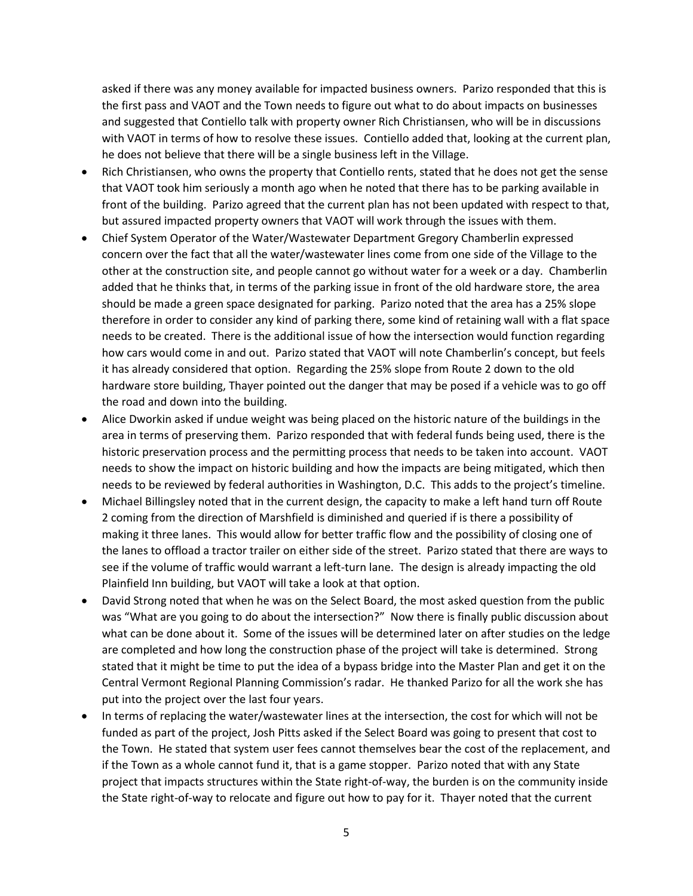asked if there was any money available for impacted business owners. Parizo responded that this is the first pass and VAOT and the Town needs to figure out what to do about impacts on businesses and suggested that Contiello talk with property owner Rich Christiansen, who will be in discussions with VAOT in terms of how to resolve these issues. Contiello added that, looking at the current plan, he does not believe that there will be a single business left in the Village.

- Rich Christiansen, who owns the property that Contiello rents, stated that he does not get the sense that VAOT took him seriously a month ago when he noted that there has to be parking available in front of the building. Parizo agreed that the current plan has not been updated with respect to that, but assured impacted property owners that VAOT will work through the issues with them.
- Chief System Operator of the Water/Wastewater Department Gregory Chamberlin expressed concern over the fact that all the water/wastewater lines come from one side of the Village to the other at the construction site, and people cannot go without water for a week or a day. Chamberlin added that he thinks that, in terms of the parking issue in front of the old hardware store, the area should be made a green space designated for parking. Parizo noted that the area has a 25% slope therefore in order to consider any kind of parking there, some kind of retaining wall with a flat space needs to be created. There is the additional issue of how the intersection would function regarding how cars would come in and out. Parizo stated that VAOT will note Chamberlin's concept, but feels it has already considered that option. Regarding the 25% slope from Route 2 down to the old hardware store building, Thayer pointed out the danger that may be posed if a vehicle was to go off the road and down into the building.
- Alice Dworkin asked if undue weight was being placed on the historic nature of the buildings in the area in terms of preserving them. Parizo responded that with federal funds being used, there is the historic preservation process and the permitting process that needs to be taken into account. VAOT needs to show the impact on historic building and how the impacts are being mitigated, which then needs to be reviewed by federal authorities in Washington, D.C. This adds to the project's timeline.
- Michael Billingsley noted that in the current design, the capacity to make a left hand turn off Route 2 coming from the direction of Marshfield is diminished and queried if is there a possibility of making it three lanes. This would allow for better traffic flow and the possibility of closing one of the lanes to offload a tractor trailer on either side of the street. Parizo stated that there are ways to see if the volume of traffic would warrant a left-turn lane. The design is already impacting the old Plainfield Inn building, but VAOT will take a look at that option.
- David Strong noted that when he was on the Select Board, the most asked question from the public was "What are you going to do about the intersection?" Now there is finally public discussion about what can be done about it. Some of the issues will be determined later on after studies on the ledge are completed and how long the construction phase of the project will take is determined. Strong stated that it might be time to put the idea of a bypass bridge into the Master Plan and get it on the Central Vermont Regional Planning Commission's radar. He thanked Parizo for all the work she has put into the project over the last four years.
- In terms of replacing the water/wastewater lines at the intersection, the cost for which will not be funded as part of the project, Josh Pitts asked if the Select Board was going to present that cost to the Town. He stated that system user fees cannot themselves bear the cost of the replacement, and if the Town as a whole cannot fund it, that is a game stopper. Parizo noted that with any State project that impacts structures within the State right-of-way, the burden is on the community inside the State right-of-way to relocate and figure out how to pay for it. Thayer noted that the current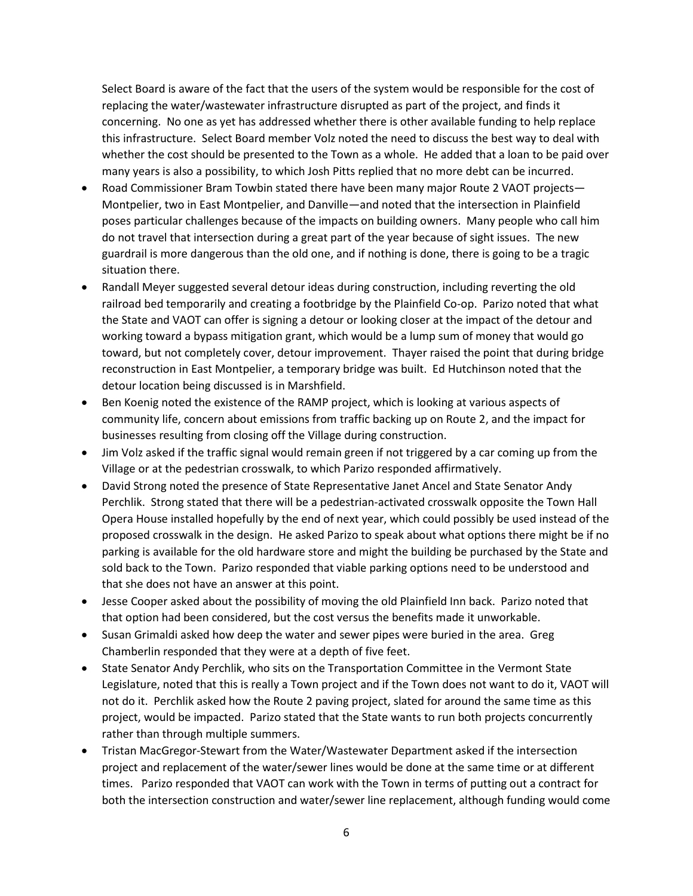Select Board is aware of the fact that the users of the system would be responsible for the cost of replacing the water/wastewater infrastructure disrupted as part of the project, and finds it concerning. No one as yet has addressed whether there is other available funding to help replace this infrastructure. Select Board member Volz noted the need to discuss the best way to deal with whether the cost should be presented to the Town as a whole. He added that a loan to be paid over many years is also a possibility, to which Josh Pitts replied that no more debt can be incurred.

- Road Commissioner Bram Towbin stated there have been many major Route 2 VAOT projects— Montpelier, two in East Montpelier, and Danville—and noted that the intersection in Plainfield poses particular challenges because of the impacts on building owners. Many people who call him do not travel that intersection during a great part of the year because of sight issues. The new guardrail is more dangerous than the old one, and if nothing is done, there is going to be a tragic situation there.
- Randall Meyer suggested several detour ideas during construction, including reverting the old railroad bed temporarily and creating a footbridge by the Plainfield Co-op. Parizo noted that what the State and VAOT can offer is signing a detour or looking closer at the impact of the detour and working toward a bypass mitigation grant, which would be a lump sum of money that would go toward, but not completely cover, detour improvement. Thayer raised the point that during bridge reconstruction in East Montpelier, a temporary bridge was built. Ed Hutchinson noted that the detour location being discussed is in Marshfield.
- Ben Koenig noted the existence of the RAMP project, which is looking at various aspects of community life, concern about emissions from traffic backing up on Route 2, and the impact for businesses resulting from closing off the Village during construction.
- Jim Volz asked if the traffic signal would remain green if not triggered by a car coming up from the Village or at the pedestrian crosswalk, to which Parizo responded affirmatively.
- David Strong noted the presence of State Representative Janet Ancel and State Senator Andy Perchlik. Strong stated that there will be a pedestrian-activated crosswalk opposite the Town Hall Opera House installed hopefully by the end of next year, which could possibly be used instead of the proposed crosswalk in the design. He asked Parizo to speak about what options there might be if no parking is available for the old hardware store and might the building be purchased by the State and sold back to the Town. Parizo responded that viable parking options need to be understood and that she does not have an answer at this point.
- Jesse Cooper asked about the possibility of moving the old Plainfield Inn back. Parizo noted that that option had been considered, but the cost versus the benefits made it unworkable.
- Susan Grimaldi asked how deep the water and sewer pipes were buried in the area. Greg Chamberlin responded that they were at a depth of five feet.
- State Senator Andy Perchlik, who sits on the Transportation Committee in the Vermont State Legislature, noted that this is really a Town project and if the Town does not want to do it, VAOT will not do it. Perchlik asked how the Route 2 paving project, slated for around the same time as this project, would be impacted. Parizo stated that the State wants to run both projects concurrently rather than through multiple summers.
- Tristan MacGregor-Stewart from the Water/Wastewater Department asked if the intersection project and replacement of the water/sewer lines would be done at the same time or at different times. Parizo responded that VAOT can work with the Town in terms of putting out a contract for both the intersection construction and water/sewer line replacement, although funding would come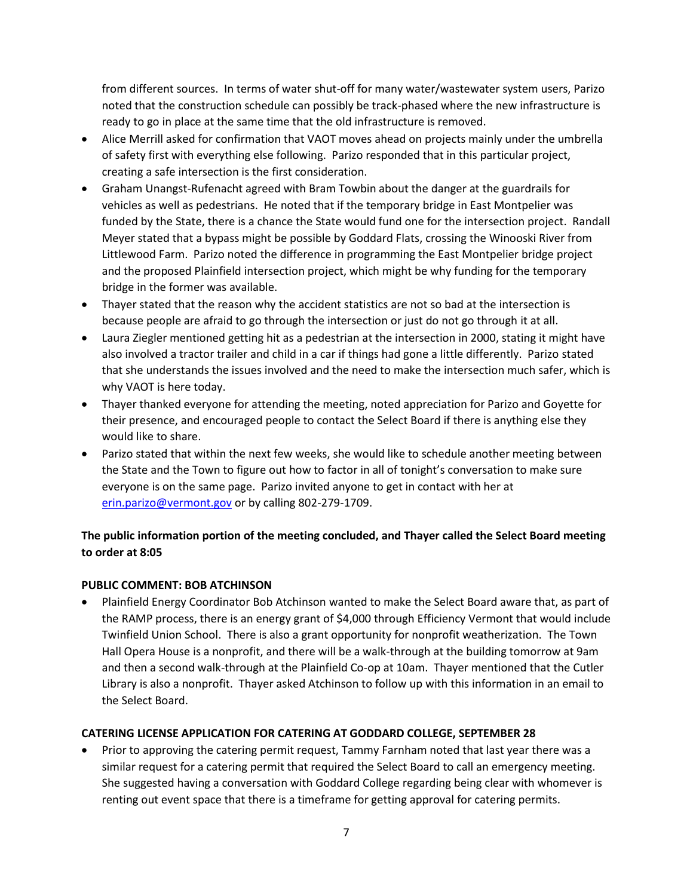from different sources. In terms of water shut-off for many water/wastewater system users, Parizo noted that the construction schedule can possibly be track-phased where the new infrastructure is ready to go in place at the same time that the old infrastructure is removed.

- Alice Merrill asked for confirmation that VAOT moves ahead on projects mainly under the umbrella of safety first with everything else following. Parizo responded that in this particular project, creating a safe intersection is the first consideration.
- Graham Unangst-Rufenacht agreed with Bram Towbin about the danger at the guardrails for vehicles as well as pedestrians. He noted that if the temporary bridge in East Montpelier was funded by the State, there is a chance the State would fund one for the intersection project. Randall Meyer stated that a bypass might be possible by Goddard Flats, crossing the Winooski River from Littlewood Farm. Parizo noted the difference in programming the East Montpelier bridge project and the proposed Plainfield intersection project, which might be why funding for the temporary bridge in the former was available.
- Thayer stated that the reason why the accident statistics are not so bad at the intersection is because people are afraid to go through the intersection or just do not go through it at all.
- Laura Ziegler mentioned getting hit as a pedestrian at the intersection in 2000, stating it might have also involved a tractor trailer and child in a car if things had gone a little differently. Parizo stated that she understands the issues involved and the need to make the intersection much safer, which is why VAOT is here today.
- Thayer thanked everyone for attending the meeting, noted appreciation for Parizo and Goyette for their presence, and encouraged people to contact the Select Board if there is anything else they would like to share.
- Parizo stated that within the next few weeks, she would like to schedule another meeting between the State and the Town to figure out how to factor in all of tonight's conversation to make sure everyone is on the same page. Parizo invited anyone to get in contact with her at [erin.parizo@vermont.gov](mailto:erin.parizo@vermont.gov) or by calling 802-279-1709.

## **The public information portion of the meeting concluded, and Thayer called the Select Board meeting to order at 8:05**

## **PUBLIC COMMENT: BOB ATCHINSON**

 Plainfield Energy Coordinator Bob Atchinson wanted to make the Select Board aware that, as part of the RAMP process, there is an energy grant of \$4,000 through Efficiency Vermont that would include Twinfield Union School. There is also a grant opportunity for nonprofit weatherization. The Town Hall Opera House is a nonprofit, and there will be a walk-through at the building tomorrow at 9am and then a second walk-through at the Plainfield Co-op at 10am. Thayer mentioned that the Cutler Library is also a nonprofit. Thayer asked Atchinson to follow up with this information in an email to the Select Board.

## **CATERING LICENSE APPLICATION FOR CATERING AT GODDARD COLLEGE, SEPTEMBER 28**

 Prior to approving the catering permit request, Tammy Farnham noted that last year there was a similar request for a catering permit that required the Select Board to call an emergency meeting. She suggested having a conversation with Goddard College regarding being clear with whomever is renting out event space that there is a timeframe for getting approval for catering permits.